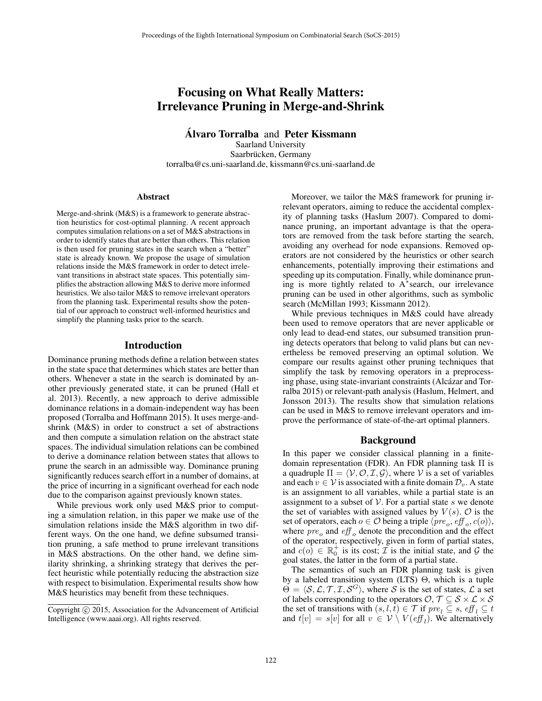# Focusing on What Really Matters: Irrelevance Pruning in Merge-and-Shrink

Álvaro Torralba and Peter Kissmann Saarland University Saarbrücken, Germany torralba@cs.uni-saarland.de, kissmann@cs.uni-saarland.de

#### Abstract

Merge-and-shrink (M&S) is a framework to generate abstraction heuristics for cost-optimal planning. A recent approach computes simulation relations on a set of M&S abstractions in order to identify states that are better than others. This relation is then used for pruning states in the search when a "better" state is already known. We propose the usage of simulation relations inside the M&S framework in order to detect irrelevant transitions in abstract state spaces. This potentially simplifies the abstraction allowing M&S to derive more informed heuristics. We also tailor M&S to remove irrelevant operators from the planning task. Experimental results show the potential of our approach to construct well-informed heuristics and simplify the planning tasks prior to the search.

### Introduction

Dominance pruning methods define a relation between states in the state space that determines which states are better than others. Whenever a state in the search is dominated by another previously generated state, it can be pruned (Hall et al. 2013). Recently, a new approach to derive admissible dominance relations in a domain-independent way has been proposed (Torralba and Hoffmann 2015). It uses merge-andshrink (M&S) in order to construct a set of abstractions and then compute a simulation relation on the abstract state spaces. The individual simulation relations can be combined to derive a dominance relation between states that allows to prune the search in an admissible way. Dominance pruning significantly reduces search effort in a number of domains, at the price of incurring in a significant overhead for each node due to the comparison against previously known states.

While previous work only used M&S prior to computing a simulation relation, in this paper we make use of the simulation relations inside the M&S algorithm in two different ways. On the one hand, we define subsumed transition pruning, a safe method to prune irrelevant transitions in M&S abstractions. On the other hand, we define similarity shrinking, a shrinking strategy that derives the perfect heuristic while potentially reducing the abstraction size with respect to bisimulation. Experimental results show how M&S heuristics may benefit from these techniques.

Moreover, we tailor the M&S framework for pruning irrelevant operators, aiming to reduce the accidental complexity of planning tasks (Haslum 2007). Compared to dominance pruning, an important advantage is that the operators are removed from the task before starting the search, avoiding any overhead for node expansions. Removed operators are not considered by the heuristics or other search enhancements, potentially improving their estimations and speeding up its computation. Finally, while dominance pruning is more tightly related to A<sup>∗</sup> search, our irrelevance pruning can be used in other algorithms, such as symbolic search (McMillan 1993; Kissmann 2012).

While previous techniques in M&S could have already been used to remove operators that are never applicable or only lead to dead-end states, our subsumed transition pruning detects operators that belong to valid plans but can nevertheless be removed preserving an optimal solution. We compare our results against other pruning techniques that simplify the task by removing operators in a preprocessing phase, using state-invariant constraints (Alcázar and Torralba 2015) or relevant-path analysis (Haslum, Helmert, and Jonsson 2013). The results show that simulation relations can be used in M&S to remove irrelevant operators and improve the performance of state-of-the-art optimal planners.

### Background

In this paper we consider classical planning in a finitedomain representation (FDR). An FDR planning task  $\Pi$  is a quadruple  $\Pi = \langle V, O, \mathcal{I}, \mathcal{G} \rangle$ , where V is a set of variables and each  $v \in V$  is associated with a finite domain  $\mathcal{D}_v$ . A state is an assignment to all variables, while a partial state is an assignment to a subset of  $V$ . For a partial state s we denote the set of variables with assigned values by  $V(s)$ .  $\mathcal{O}$  is the set of operators, each  $o \in \mathcal{O}$  being a triple  $\langle \textit{pre}_o, \textit{eff}_o, \textit{c}(o) \rangle$ , where  $pre_o$  and  $eff_o$  denote the precondition and the effect of the operator, respectively, given in form of partial states, and  $c(o) \in \mathbb{R}_0^+$  is its cost;  $\mathcal{T}$  is the initial state, and  $\mathcal{G}$  the goal states, the latter in the form of a partial state.

The semantics of such an FDR planning task is given by a labeled transition system (LTS) Θ, which is a tuple  $\Theta = \langle S, \mathcal{L}, \mathcal{T}, \mathcal{I}, \mathcal{S}^G \rangle$ , where S is the set of states,  $\mathcal{L}$  a set of labels corresponding to the operators  $\mathcal{O}, \mathcal{T} \subseteq \mathcal{S} \times \mathcal{L} \times \mathcal{S}$ the set of transitions with  $(s, l, t) \in \mathcal{T}$  if  $pre_l \subseteq s$ ,  $\ell f_l \subseteq t$ and  $t[v] = s[v]$  for all  $v \in V \setminus V(eff_l)$ . We alternatively

Copyright © 2015, Association for the Advancement of Artificial Intelligence (www.aaai.org). All rights reserved.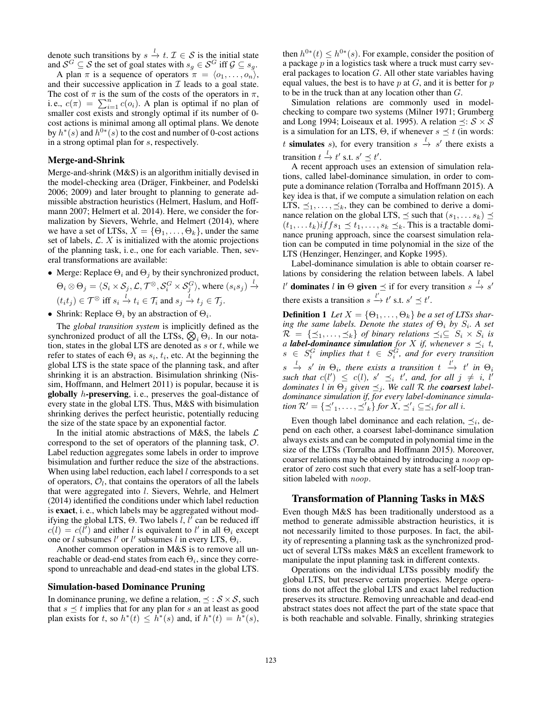denote such transitions by  $s \stackrel{l}{\rightarrow} t$ .  $\mathcal{I} \in \mathcal{S}$  is the initial state and  $\mathcal{S}^G \subseteq \mathcal{S}$  the set of goal states with  $s_g \in \mathcal{S}^G$  iff  $\mathcal{G} \subseteq s_g$ .

A plan  $\pi$  is a sequence of operators  $\pi = \langle o_1, \ldots, o_n \rangle$ , and their successive application in  $\mathcal I$  leads to a goal state. The cost of  $\pi$  is the sum of the costs of the operators in  $\pi$ , i. e.,  $c(\pi) = \sum_{i=1}^{n} c(o_i)$ . A plan is optimal if no plan of smaller cost exists and strongly optimal if its number of 0 cost actions is minimal among all optimal plans. We denote by  $h^*(s)$  and  $h^{0*}(s)$  to the cost and number of 0-cost actions in a strong optimal plan for s, respectively.

### Merge-and-Shrink

Merge-and-shrink (M&S) is an algorithm initially devised in the model-checking area (Dräger, Finkbeiner, and Podelski 2006; 2009) and later brought to planning to generate admissible abstraction heuristics (Helmert, Haslum, and Hoffmann 2007; Helmert et al. 2014). Here, we consider the formalization by Sievers, Wehrle, and Helmert (2014), where we have a set of LTSs,  $X = \{\Theta_1, \ldots, \Theta_k\}$ , under the same set of labels,  $\mathcal{L}$ . X is initialized with the atomic projections of the planning task, i. e., one for each variable. Then, several transformations are available:

• Merge: Replace  $\Theta_i$  and  $\Theta_j$  by their synchronized product,

$$
\Theta_i \otimes \Theta_j = \langle S_i \times \mathcal{S}_j, \mathcal{L}, \mathcal{T}^{\otimes}, \mathcal{S}_i^G \times \mathcal{S}_j^G \rangle, \text{ where } (s_i s_j) \xrightarrow{l}
$$
  

$$
(t_i t_j) \in \mathcal{T}^{\otimes} \text{ iff } s_i \xrightarrow{l} t_i \in \mathcal{T}_i \text{ and } s_j \xrightarrow{l} t_j \in \mathcal{T}_j.
$$

$$
(v_i v_j) \in I \quad \text{if } v_i \in I_i \text{ and } v_j \in I_j
$$

• Shrink: Replace  $\Theta_i$  by an abstraction of  $\Theta_i$ .

The *global transition system* is implicitly defined as the synchronized product of all the LTSs,  $\bigotimes_i \Theta_i$ . In our notation, states in the global LTS are denoted as  $s$  or  $t$ , while we refer to states of each  $\Theta_i$  as  $s_i$ ,  $t_i$ , etc. At the beginning the global LTS is the state space of the planning task, and after shrinking it is an abstraction. Bisimulation shrinking (Nissim, Hoffmann, and Helmert 2011) is popular, because it is globally  $h$ -preserving, i.e., preserves the goal-distance of every state in the global LTS. Thus, M&S with bisimulation shrinking derives the perfect heuristic, potentially reducing the size of the state space by an exponential factor.

In the initial atomic abstractions of M&S, the labels  $\mathcal{L}$ correspond to the set of operators of the planning task, O. Label reduction aggregates some labels in order to improve bisimulation and further reduce the size of the abstractions. When using label reduction, each label  $l$  corresponds to a set of operators,  $O_l$ , that contains the operators of all the labels that were aggregated into *l*. Sievers, Wehrle, and Helmert (2014) identified the conditions under which label reduction is exact, i. e., which labels may be aggregated without modifying the global LTS,  $\Theta$ . Two labels  $l, l'$  can be reduced iff  $c(l) = c(l')$  and either l is equivalent to l' in all  $\Theta_i$  except one or *l* subsumes *l'* or *l'* subsumes *l* in every LTS,  $\Theta_i$ .

Another common operation in M&S is to remove all unreachable or dead-end states from each  $\Theta_i$ , since they correspond to unreachable and dead-end states in the global LTS.

### Simulation-based Dominance Pruning

In dominance pruning, we define a relation,  $\preceq : \mathcal{S} \times \mathcal{S}$ , such that  $s \preceq t$  implies that for any plan for s an at least as good plan exists for t, so  $h^*(t) \leq h^*(s)$  and, if  $h^*(t) = h^*(s)$ ,

then  $h^{0*}(t) \leq h^{0*}(s)$ . For example, consider the position of a package  $p$  in a logistics task where a truck must carry several packages to location G. All other state variables having equal values, the best is to have  $p$  at  $G$ , and it is better for  $p$ to be in the truck than at any location other than G.

Simulation relations are commonly used in modelchecking to compare two systems (Milner 1971; Grumberg and Long 1994; Loiseaux et al. 1995). A relation  $\preceq$ :  $S \times S$ is a simulation for an LTS,  $\Theta$ , if whenever  $s \preceq t$  (in words: t simulates s), for every transition  $s \stackrel{l}{\rightarrow} s'$  there exists a transition  $t \stackrel{l}{\rightarrow} t'$  s.t.  $s' \preceq t'$ .

A recent approach uses an extension of simulation relations, called label-dominance simulation, in order to compute a dominance relation (Torralba and Hoffmann 2015). A key idea is that, if we compute a simulation relation on each LTS,  $\preceq_1, \ldots, \preceq_k$ , they can be combined to derive a dominance relation on the global LTS,  $\preceq$  such that  $(s_1, \ldots s_k) \preceq$  $(t_1, \ldots t_k)$ if  $fs_1 \leq t_1, \ldots, s_k \leq k$ . This is a tractable dominance pruning approach, since the coarsest simulation relation can be computed in time polynomial in the size of the LTS (Henzinger, Henzinger, and Kopke 1995).

Label-dominance simulation is able to obtain coarser relations by considering the relation between labels. A label l' dominates l in  $\Theta$  given  $\preceq$  if for every transition  $s \stackrel{l}{\rightarrow} s'$ there exists a transition  $s \stackrel{l'}{\rightarrow} t'$  s.t.  $s' \preceq t'$ .

**Definition 1** Let  $X = \{\Theta_1, \ldots, \Theta_k\}$  be a set of LTSs shar $i$ *ng the same labels. Denote the states of*  $\Theta_i$  *by*  $S_i$ *. A set*  $\mathcal{R} = \{\preceq_1, \ldots, \preceq_k\}$  of binary relations  $\preceq_i \subseteq S_i \times S_i$  is *a label-dominance simulation for*  $X$  *if, whenever*  $s \preceq_i t$ *,*  $s \in S_i^G$  implies that  $t \in S_i^G$ , and for every transition  $s \stackrel{l}{\rightarrow} s'$  in  $\Theta_i$ , there exists a transition  $t \stackrel{l'}{\rightarrow} t'$  in  $\Theta_i$ such that  $c(l') \leq c(l)$ ,  $s' \preceq_i t'$ , and, for all  $j \neq i$ , l' *dominates l in*  $\Theta_j$  *given*  $\preceq_j$ *. We call*  $R$  *the coarsest labeldominance simulation if, for every label-dominance simulation*  $\mathcal{R}' = {\{\preceq'_1, \ldots, \preceq'_k\}}$  *for*  $X, \preceq'_i \subseteq \preceq_i$  *for all i.* 

Even though label dominance and each relation,  $\preceq_i$ , depend on each other, a coarsest label-dominance simulation always exists and can be computed in polynomial time in the size of the LTSs (Torralba and Hoffmann 2015). Moreover, coarser relations may be obtained by introducing a noop operator of zero cost such that every state has a self-loop transition labeled with *noop*.

# Transformation of Planning Tasks in M&S

Even though M&S has been traditionally understood as a method to generate admissible abstraction heuristics, it is not necessarily limited to those purposes. In fact, the ability of representing a planning task as the synchronized product of several LTSs makes M&S an excellent framework to manipulate the input planning task in different contexts.

Operations on the individual LTSs possibly modify the global LTS, but preserve certain properties. Merge operations do not affect the global LTS and exact label reduction preserves its structure. Removing unreachable and dead-end abstract states does not affect the part of the state space that is both reachable and solvable. Finally, shrinking strategies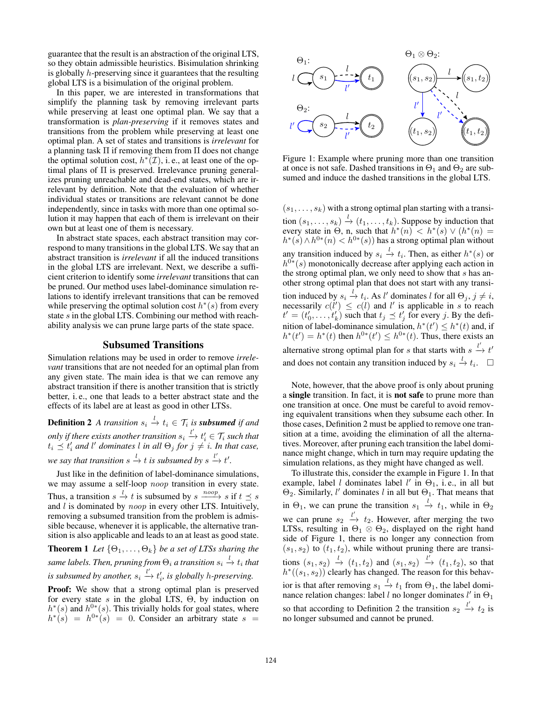guarantee that the result is an abstraction of the original LTS, so they obtain admissible heuristics. Bisimulation shrinking is globally h-preserving since it guarantees that the resulting global LTS is a bisimulation of the original problem.

In this paper, we are interested in transformations that simplify the planning task by removing irrelevant parts while preserving at least one optimal plan. We say that a transformation is *plan-preserving* if it removes states and transitions from the problem while preserving at least one optimal plan. A set of states and transitions is *irrelevant* for a planning task  $\Pi$  if removing them from  $\Pi$  does not change the optimal solution cost,  $h^*(\mathcal{I})$ , i.e., at least one of the optimal plans of Π is preserved. Irrelevance pruning generalizes pruning unreachable and dead-end states, which are irrelevant by definition. Note that the evaluation of whether individual states or transitions are relevant cannot be done independently, since in tasks with more than one optimal solution it may happen that each of them is irrelevant on their own but at least one of them is necessary.

In abstract state spaces, each abstract transition may correspond to many transitions in the global LTS. We say that an abstract transition is *irrelevant* if all the induced transitions in the global LTS are irrelevant. Next, we describe a sufficient criterion to identify some *irrelevant* transitions that can be pruned. Our method uses label-dominance simulation relations to identify irrelevant transitions that can be removed while preserving the optimal solution cost  $h^*(s)$  from every state s in the global LTS. Combining our method with reachability analysis we can prune large parts of the state space.

# Subsumed Transitions

Simulation relations may be used in order to remove *irrelevant* transitions that are not needed for an optimal plan from any given state. The main idea is that we can remove any abstract transition if there is another transition that is strictly better, i. e., one that leads to a better abstract state and the effects of its label are at least as good in other LTSs.

**Definition 2** A transition  $s_i \stackrel{l}{\rightarrow} t_i \in \mathcal{T}_i$  is **subsumed** if and only if there exists another transition  $s_i \xrightarrow{l'} t'_i \in \mathcal{T}_i$  such that  $t_i \preceq t'_i$  and l' dominates l in all  $\Theta_j$  for  $j \neq i$ . In that case, we say that transition  $s \stackrel{l}{\to} t$  is subsumed by  $s \stackrel{l'}{\to} t'$ .

Just like in the definition of label-dominance simulations, we may assume a self-loop noop transition in every state. Thus, a transition  $s \stackrel{l}{\rightarrow} t$  is subsumed by  $s \xrightarrow{noop} s$  if  $t \leq s$ and  $l$  is dominated by  $noop$  in every other LTS. Intuitively, removing a subsumed transition from the problem is admissible because, whenever it is applicable, the alternative transition is also applicable and leads to an at least as good state.

**Theorem 1** *Let*  $\{\Theta_1, \ldots, \Theta_k\}$  *be a set of LTSs sharing the* same labels. Then, pruning from  $\Theta_i$  a transition  $s_i \xrightarrow{l} t_i$  that is subsumed by another,  $s_i \stackrel{l'}{\rightarrow} t'_i$ , is globally *h*-preserving.

Proof: We show that a strong optimal plan is preserved for every state  $s$  in the global LTS,  $\Theta$ , by induction on  $h^*(s)$  and  $h^{0*}(s)$ . This trivially holds for goal states, where  $h^*(s) = h^{0*}(s) = 0$ . Consider an arbitrary state  $s =$ 



Figure 1: Example where pruning more than one transition at once is not safe. Dashed transitions in  $\Theta_1$  and  $\Theta_2$  are subsumed and induce the dashed transitions in the global LTS.

 $(s_1, \ldots, s_k)$  with a strong optimal plan starting with a transition  $(s_1, \ldots, s_k) \stackrel{l}{\rightarrow} (t_1, \ldots, t_k)$ . Suppose by induction that every state in  $\Theta$ , n, such that  $h^*(n) < h^*(s) \vee (h^*(n))$  $h^*(s) \wedge h^{0*}(n) < h^{0*}(s)$  has a strong optimal plan without any transition induced by  $s_i \stackrel{l}{\rightarrow} t_i$ . Then, as either  $h^*(s)$  or  $h^{0*}(s)$  monotonically decrease after applying each action in the strong optimal plan, we only need to show that  $s$  has another strong optimal plan that does not start with any transition induced by  $s_i \stackrel{l}{\rightarrow} t_i$ . As l' dominates l for all  $\Theta_j$ ,  $j \neq i$ , necessarily  $c(l') \leq c(l)$  and l' is applicable in s to reach  $t' = (t'_0, \ldots, t'_k)$  such that  $t_j \preceq t'_j$  for every j. By the definition of label-dominance simulation,  $h^*(t') \leq h^*(t)$  and, if  $h^*(t') = h^*(t)$  then  $h^{0*}(t') \leq h^{0*}(t)$ . Thus, there exists an alternative strong optimal plan for s that starts with  $s \stackrel{l'}{\rightarrow} t'$ and does not contain any transition induced by  $s_i \stackrel{l}{\rightarrow} t_i$ .  $\Box$ 

Note, however, that the above proof is only about pruning a single transition. In fact, it is not safe to prune more than one transition at once. One must be careful to avoid removing equivalent transitions when they subsume each other. In those cases, Definition 2 must be applied to remove one transition at a time, avoiding the elimination of all the alternatives. Moreover, after pruning each transition the label dominance might change, which in turn may require updating the simulation relations, as they might have changed as well.

To illustrate this, consider the example in Figure 1. In that example, label *l* dominates label  $l'$  in  $\Theta_1$ , i.e., in all but  $\Theta_2$ . Similarly, l' dominates l in all but  $\Theta_1$ . That means that in  $\Theta_1$ , we can prune the transition  $s_1 \stackrel{l}{\rightarrow} t_1$ , while in  $\Theta_2$ we can prune  $s_2 \stackrel{l'}{\rightarrow} t_2$ . However, after merging the two LTSs, resulting in  $\Theta_1 \otimes \Theta_2$ , displayed on the right hand side of Figure 1, there is no longer any connection from  $(s_1, s_2)$  to  $(t_1, t_2)$ , while without pruning there are transitions  $(s_1, s_2) \stackrel{l}{\rightarrow} (t_1, t_2)$  and  $(s_1, s_2) \stackrel{l'}{\rightarrow} (t_1, t_2)$ , so that  $h^*((s_1, s_2))$  clearly has changed. The reason for this behavior is that after removing  $s_1 \stackrel{l}{\rightarrow} t_1$  from  $\Theta_1$ , the label dominance relation changes: label *l* no longer dominates  $l'$  in  $\Theta_1$ so that according to Definition 2 the transition  $s_2 \stackrel{l'}{\rightarrow} t_2$  is no longer subsumed and cannot be pruned.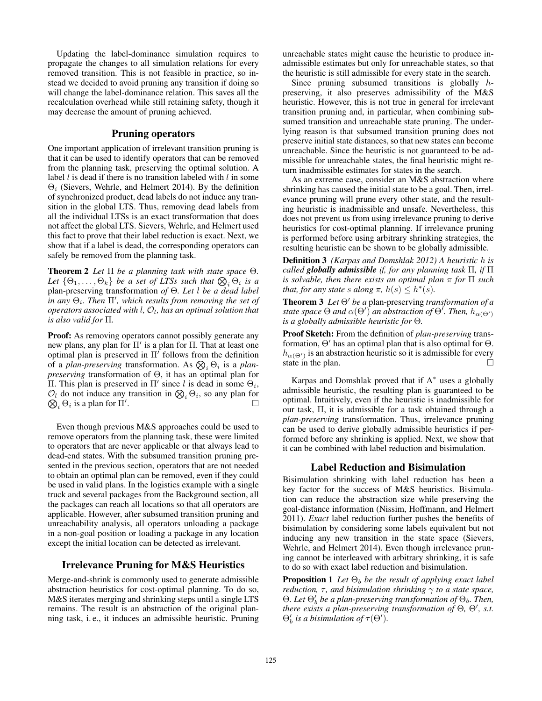Updating the label-dominance simulation requires to propagate the changes to all simulation relations for every removed transition. This is not feasible in practice, so instead we decided to avoid pruning any transition if doing so will change the label-dominance relation. This saves all the recalculation overhead while still retaining safety, though it may decrease the amount of pruning achieved.

# Pruning operators

One important application of irrelevant transition pruning is that it can be used to identify operators that can be removed from the planning task, preserving the optimal solution. A label  $l$  is dead if there is no transition labeled with  $l$  in some  $\Theta_i$  (Sievers, Wehrle, and Helmert 2014). By the definition of synchronized product, dead labels do not induce any transition in the global LTS. Thus, removing dead labels from all the individual LTSs is an exact transformation that does not affect the global LTS. Sievers, Wehrle, and Helmert used this fact to prove that their label reduction is exact. Next, we show that if a label is dead, the corresponding operators can safely be removed from the planning task.

Theorem 2 *Let* Π *be a planning task with state space* Θ*.* Let  $\{\Theta_1, \ldots, \Theta_k\}$  be a set of LTSs such that  $\bigotimes_i \Theta_i$  is a plan-preserving transformation *of* Θ*. Let* l *be a dead label*  $i$ *n any*  $\Theta_i$ . Then  $\Pi'$ , which results from removing the set of *operators associated with* l*,* O<sup>l</sup> *, has an optimal solution that is also valid for* Π*.*

Proof: As removing operators cannot possibly generate any new plans, any plan for  $\Pi'$  is a plan for  $\Pi$ . That at least one optimal plan is preserved in  $\Pi'$  follows from the definition of a *plan-preserving* transformation. As  $\bigotimes_i \Theta_i$  is a *planpreserving* transformation of Θ, it has an optimal plan for Π. This plan is preserved in Π' since l is dead in some  $\Theta_i$ ,  $\mathcal{O}_l$  do not induce any transition in  $\mathcal{O}_i \Theta_i$ , so any plan for  $\bigotimes_i \Theta_i$  is a plan for  $\Pi'$  $\sum_{l}$  .

Even though previous M&S approaches could be used to remove operators from the planning task, these were limited to operators that are never applicable or that always lead to dead-end states. With the subsumed transition pruning presented in the previous section, operators that are not needed to obtain an optimal plan can be removed, even if they could be used in valid plans. In the logistics example with a single truck and several packages from the Background section, all the packages can reach all locations so that all operators are applicable. However, after subsumed transition pruning and unreachability analysis, all operators unloading a package in a non-goal position or loading a package in any location except the initial location can be detected as irrelevant.

# Irrelevance Pruning for M&S Heuristics

Merge-and-shrink is commonly used to generate admissible abstraction heuristics for cost-optimal planning. To do so, M&S iterates merging and shrinking steps until a single LTS remains. The result is an abstraction of the original planning task, i. e., it induces an admissible heuristic. Pruning

unreachable states might cause the heuristic to produce inadmissible estimates but only for unreachable states, so that the heuristic is still admissible for every state in the search.

Since pruning subsumed transitions is globally hpreserving, it also preserves admissibility of the M&S heuristic. However, this is not true in general for irrelevant transition pruning and, in particular, when combining subsumed transition and unreachable state pruning. The underlying reason is that subsumed transition pruning does not preserve initial state distances, so that new states can become unreachable. Since the heuristic is not guaranteed to be admissible for unreachable states, the final heuristic might return inadmissible estimates for states in the search.

As an extreme case, consider an M&S abstraction where shrinking has caused the initial state to be a goal. Then, irrelevance pruning will prune every other state, and the resulting heuristic is inadmissible and unsafe. Nevertheless, this does not prevent us from using irrelevance pruning to derive heuristics for cost-optimal planning. If irrelevance pruning is performed before using arbitrary shrinking strategies, the resulting heuristic can be shown to be globally admissible.

Definition 3 *(Karpas and Domshlak 2012) A heuristic* h *is called globally admissible if, for any planning task* Π*, if* Π *is solvable, then there exists an optimal plan* π *for* Π *such that, for any state* s *along*  $\pi$ *,*  $h(s) \leq h^*(s)$ *.* 

**Theorem 3** *Let*  $\Theta'$  *be a* plan-preserving *transformation of a* state space  $\Theta$  and  $\alpha(\Theta')$  an abstraction of  $\Theta'.$  Then,  $h_{\alpha(\Theta')}$ *is a globally admissible heuristic for* Θ*.*

Proof Sketch: From the definition of *plan-preserving* transformation,  $\Theta'$  has an optimal plan that is also optimal for  $\Theta$ .  $h_{\alpha(\Theta')}$  is an abstraction heuristic so it is admissible for every state in the plan.  $\Box$ 

Karpas and Domshlak proved that if A<sup>∗</sup> uses a globally admissible heuristic, the resulting plan is guaranteed to be optimal. Intuitively, even if the heuristic is inadmissible for our task, Π, it is admissible for a task obtained through a *plan-preserving* transformation. Thus, irrelevance pruning can be used to derive globally admissible heuristics if performed before any shrinking is applied. Next, we show that it can be combined with label reduction and bisimulation.

# Label Reduction and Bisimulation

Bisimulation shrinking with label reduction has been a key factor for the success of M&S heuristics. Bisimulation can reduce the abstraction size while preserving the goal-distance information (Nissim, Hoffmann, and Helmert 2011). *Exact* label reduction further pushes the benefits of bisimulation by considering some labels equivalent but not inducing any new transition in the state space (Sievers, Wehrle, and Helmert 2014). Even though irrelevance pruning cannot be interleaved with arbitrary shrinking, it is safe to do so with exact label reduction and bisimulation.

**Proposition 1** *Let*  $\Theta_b$  *be the result of applying exact label reduction,*  $\tau$ *, and bisimulation shrinking*  $\gamma$  *to a state space,*  $\Theta$ *. Let*  $\Theta'_{b}$  be a plan-preserving transformation of  $\Theta_{b}$ *. Then, there exists a plan-preserving transformation of*  $\Theta$ ,  $\Theta'$ , *s.t.*  $\Theta'_{b}$  *is a bisimulation of*  $\tau(\Theta')$ .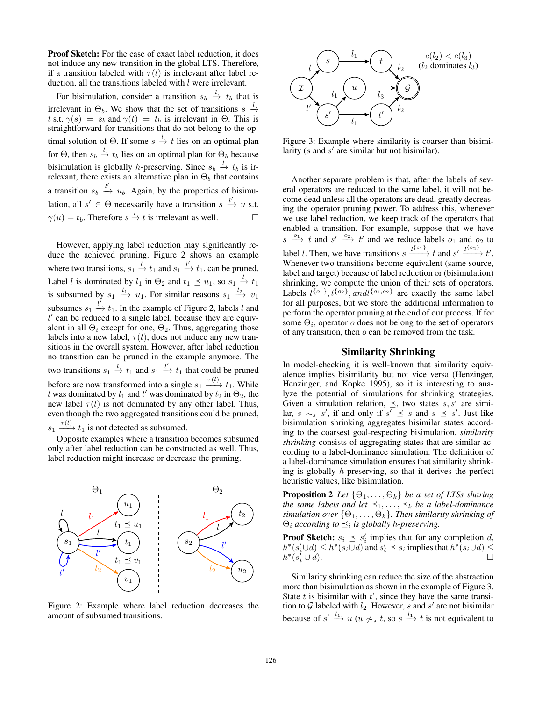Proof Sketch: For the case of exact label reduction, it does not induce any new transition in the global LTS. Therefore, if a transition labeled with  $\tau(l)$  is irrelevant after label reduction, all the transitions labeled with  $l$  were irrelevant.

For bisimulation, consider a transition  $s_b \stackrel{l}{\rightarrow} t_b$  that is irrelevant in  $\Theta_b$ . We show that the set of transitions  $s \stackrel{l}{\rightarrow}$ t s.t.  $\gamma(s) = s_b$  and  $\gamma(t) = t_b$  is irrelevant in  $\Theta$ . This is straightforward for transitions that do not belong to the optimal solution of  $\Theta$ . If some  $s \stackrel{l}{\rightarrow} t$  lies on an optimal plan for  $\Theta$ , then  $s_b \stackrel{l}{\rightarrow} t_b$  lies on an optimal plan for  $\Theta_b$  because bisimulation is globally *h*-preserving. Since  $s_b \stackrel{l}{\rightarrow} t_b$  is irrelevant, there exists an alternative plan in  $\Theta_b$  that contains a transition  $s_b \stackrel{l'}{\rightarrow} u_b$ . Again, by the properties of bisimulation, all  $s' \in \Theta$  necessarily have a transition  $s \stackrel{l'}{\rightarrow} u$  s.t.  $\gamma(u) = t_b$ . Therefore  $s \stackrel{l}{\rightarrow} t$  is irrelevant as well.

However, applying label reduction may significantly reduce the achieved pruning. Figure 2 shows an example where two transitions,  $s_1 \stackrel{l}{\rightarrow} t_1$  and  $s_1 \stackrel{l'}{\rightarrow} t_1$ , can be pruned. Label *l* is dominated by  $l_1$  in  $\Theta_2$  and  $t_1 \preceq u_1$ , so  $s_1 \stackrel{l}{\rightarrow} t_1$ is subsumed by  $s_1 \stackrel{l_1}{\longrightarrow} u_1$ . For similar reasons  $s_1 \stackrel{l_2}{\longrightarrow} v_1$ subsumes  $s_1 \stackrel{l'}{\rightarrow} t_1$ . In the example of Figure 2, labels l and  $l'$  can be reduced to a single label, because they are equivalent in all  $\Theta_i$  except for one,  $\Theta_2$ . Thus, aggregating those labels into a new label,  $\tau(l)$ , does not induce any new transitions in the overall system. However, after label reduction no transition can be pruned in the example anymore. The two transitions  $s_1 \stackrel{l}{\rightarrow} t_1$  and  $s_1 \stackrel{l'}{\rightarrow} t_1$  that could be pruned before are now transformed into a single  $s_1 \xrightarrow{\tau(l)} t_1$ . While l was dominated by  $l_1$  and l' was dominated by  $l_2$  in  $\Theta_2$ , the new label  $\tau(l)$  is not dominated by any other label. Thus, even though the two aggregated transitions could be pruned,  $s_1 \xrightarrow{\tau(l)} t_1$  is not detected as subsumed.

Opposite examples where a transition becomes subsumed only after label reduction can be constructed as well. Thus, label reduction might increase or decrease the pruning.



Figure 2: Example where label reduction decreases the amount of subsumed transitions.



Figure 3: Example where similarity is coarser than bisimilarity ( $s$  and  $s'$  are similar but not bisimilar).

Another separate problem is that, after the labels of several operators are reduced to the same label, it will not become dead unless all the operators are dead, greatly decreasing the operator pruning power. To address this, whenever we use label reduction, we keep track of the operators that enabled a transition. For example, suppose that we have  $s \stackrel{o_1}{\longrightarrow} t$  and  $s' \stackrel{o_2}{\longrightarrow} t'$  and we reduce labels  $o_1$  and  $o_2$  to label *l*. Then, we have transitions  $s \xrightarrow{l^{\{o_1\}}} t$  and  $s' \xrightarrow{l^{\{o_2\}}} t'$ . Whenever two transitions become equivalent (same source, label and target) because of label reduction or (bisimulation) shrinking, we compute the union of their sets of operators. Labels  $l^{\{o_1\}}$ ,  $l^{\{o_2\}}$ , and  $l^{\{o_1, o_2\}}$  are exactly the same label for all purposes, but we store the additional information to perform the operator pruning at the end of our process. If for some  $\Theta_i$ , operator  $o$  does not belong to the set of operators of any transition, then  $o$  can be removed from the task.

# Similarity Shrinking

In model-checking it is well-known that similarity equivalence implies bisimilarity but not vice versa (Henzinger, Henzinger, and Kopke 1995), so it is interesting to analyze the potential of simulations for shrinking strategies. Given a simulation relation,  $\preceq$ , two states s, s' are similar,  $s \sim_s s'$ , if and only if  $s' \preceq s$  and  $s \preceq s'$ . Just like bisimulation shrinking aggregates bisimilar states according to the coarsest goal-respecting bisimulation, *similarity shrinking* consists of aggregating states that are similar according to a label-dominance simulation. The definition of a label-dominance simulation ensures that similarity shrinking is globally h-preserving, so that it derives the perfect heuristic values, like bisimulation.

**Proposition 2** *Let*  $\{\Theta_1, \ldots, \Theta_k\}$  *be a set of LTSs sharing the same labels and let*  $\leq_1, \ldots, \leq_k$  *be a label-dominance simulation over*  $\{\Theta_1, \ldots, \Theta_k\}$ *. Then similarity shrinking of*  $\Theta_i$  *according to*  $\preceq_i$  *is globally h-preserving.* 

**Proof Sketch:**  $s_i \leq s'_i$  implies that for any completion d,  $h^*(s_i' \cup d) \leq h^*(s_i \cup d)$  and  $s_i' \preceq s_i$  implies that  $h^*(s_i \cup d) \leq$  $h^*(s'_i)$  $\sum_{i=1}^{t}$  ∪ d).

Similarity shrinking can reduce the size of the abstraction more than bisimulation as shown in the example of Figure 3. State  $t$  is bisimilar with  $t'$ , since they have the same transition to  $G$  labeled with  $l_2$ . However, s and s' are not bisimilar because of  $s' \stackrel{l_1}{\longrightarrow} u$  ( $u \nsim s$  t, so  $s \stackrel{l_1}{\longrightarrow} t$  is not equivalent to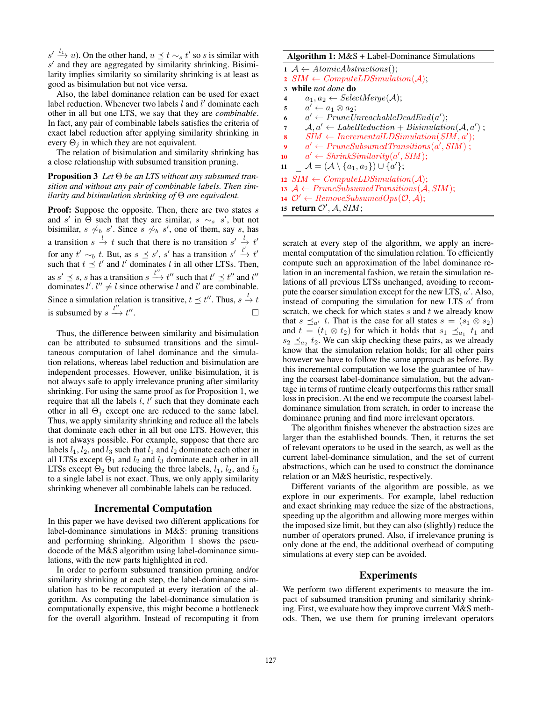$s' \stackrel{l_1}{\longrightarrow} u$ ). On the other hand,  $u \preceq t \sim_s t'$  so s is similar with  $s'$  and they are aggregated by similarity shrinking. Bisimilarity implies similarity so similarity shrinking is at least as good as bisimulation but not vice versa.

Also, the label dominance relation can be used for exact label reduction. Whenever two labels  $l$  and  $l'$  dominate each other in all but one LTS, we say that they are *combinable*. In fact, any pair of combinable labels satisfies the criteria of exact label reduction after applying similarity shrinking in every  $\Theta_i$  in which they are not equivalent.

The relation of bisimulation and similarity shrinking has a close relationship with subsumed transition pruning.

Proposition 3 *Let* Θ *be an LTS without any subsumed transition and without any pair of combinable labels. Then similarity and bisimulation shrinking of* Θ *are equivalent.*

**Proof:** Suppose the opposite. Then, there are two states  $s$ and s' in  $\Theta$  such that they are similar, s  $\sim_s$  s', but not bisimilar,  $s \nsim b s'$ . Since  $s \nsim b s'$ , one of them, say s, has a transition  $s \stackrel{l}{\rightarrow} t$  such that there is no transition  $s' \stackrel{l}{\rightarrow} t'$ for any  $t' \sim_b t$ . But, as  $s \preceq s'$ , s' has a transition  $s' \stackrel{l'}{\rightarrow} t'$ such that  $t \preceq t'$  and l' dominates l in all other LTSs. Then, as  $s' \preceq s$ , s has a transition  $s \stackrel{l''}{\longrightarrow} t''$  such that  $t' \preceq t''$  and  $l''$ dominates  $l'$ .  $l'' \neq l$  since otherwise l and l' are combinable. Since a simulation relation is transitive,  $t \le t''$ . Thus,  $s \stackrel{l}{\rightarrow} t$ is subsumed by  $s \stackrel{l''}{\longrightarrow} t''$ . В последните последните под извести в последните се при в село в село во село во село во село во село во сел<br>Село во село во село во село во село во село во село во село во село во село во село во село во село во село в

Thus, the difference between similarity and bisimulation can be attributed to subsumed transitions and the simultaneous computation of label dominance and the simulation relations, whereas label reduction and bisimulation are independent processes. However, unlike bisimulation, it is not always safe to apply irrelevance pruning after similarity shrinking. For using the same proof as for Proposition 1, we require that all the labels  $l, l'$  such that they dominate each other in all  $\Theta_i$  except one are reduced to the same label. Thus, we apply similarity shrinking and reduce all the labels that dominate each other in all but one LTS. However, this is not always possible. For example, suppose that there are labels  $l_1$ ,  $l_2$ , and  $l_3$  such that  $l_1$  and  $l_2$  dominate each other in all LTSs except  $\Theta_1$  and  $l_2$  and  $l_3$  dominate each other in all LTSs except  $\Theta_2$  but reducing the three labels,  $l_1$ ,  $l_2$ , and  $l_3$ to a single label is not exact. Thus, we only apply similarity shrinking whenever all combinable labels can be reduced.

#### Incremental Computation

In this paper we have devised two different applications for label-dominance simulations in M&S: pruning transitions and performing shrinking. Algorithm 1 shows the pseudocode of the M&S algorithm using label-dominance simulations, with the new parts highlighted in red.

In order to perform subsumed transition pruning and/or similarity shrinking at each step, the label-dominance simulation has to be recomputed at every iteration of the algorithm. As computing the label-dominance simulation is computationally expensive, this might become a bottleneck for the overall algorithm. Instead of recomputing it from

### Algorithm 1: M&S + Label-Dominance Simulations

```
1 A \leftarrow AtomicAbstractions();2 SIM \leftarrow ComputeLDSimulation(\mathcal{A});3 while not done do
4 a<sub>1</sub>, a_2 \leftarrow SelectMerge(\mathcal{A});\mathfrak{s} \quad | \quad a' \leftarrow a_1 \otimes a_2;6 a' \leftarrow PruneUnreachableDeadEnd(a');\mathcal{A}, a' \leftarrow LabelReduction + Bisimulation(\mathcal{A}, a');
\textit{s} \quad \textit{SIM} \leftarrow \textit{IncrementalLDSimulation(SIM}, a');\quad \  \  \, \cdot \quad \  \  \, \cdot \quad \  \  \, \cdot \quad \  \  \, \cdot \quad \  \  \, \cdot \quad \  \  \, \cdot \quad \  \  \, \cdot \quad \  \  \, \cdot \quad \  \  \, \cdot \quad \  \  \, \cdot \quad \  \  \, \cdot \quad \  \  \, \cdot \quad \  \  \, \cdot \quad \  \  \, \cdot \quad \  \  \, \cdot \quad \  \  \, \cdot \quad \  \  \, \cdot \quad \  \  \, \cdot \quad \  \  \, \cdot \quad \  \  \, \cdot \quad \  \  \, \cdot \quad \  \  \, \cdot10 a' \leftarrow ShrinkSimilarity(a', SIM);\begin{array}{c|c} \mathbf{11} & A = (\mathcal{A} \setminus \{a_1, a_2\}) \cup \{a'\}; \end{array}12 SIM \leftarrow ComputeLDSimulation(\mathcal{A});13 A \leftarrow PruneSubsumed Transitions(A, SIM);14 \mathcal{O}' \leftarrow RemoveSubsumedOps(\mathcal{O}, \mathcal{A});
```

```
15 return \mathcal{O}', \mathcal{A}, SIM;
```
scratch at every step of the algorithm, we apply an incremental computation of the simulation relation. To efficiently compute such an approximation of the label dominance relation in an incremental fashion, we retain the simulation relations of all previous LTSs unchanged, avoiding to recompute the coarser simulation except for the new LTS,  $a'$ . Also, instead of computing the simulation for new LTS  $a'$  from scratch, we check for which states  $s$  and  $t$  we already know that  $s \preceq_{a'} t$ . That is the case for all states  $s = (s_1 \otimes s_2)$ and  $t = (t_1 \otimes t_2)$  for which it holds that  $s_1 \preceq_{a_1} t_1$  and  $s_2 \preceq_{a_2} t_2$ . We can skip checking these pairs, as we already know that the simulation relation holds; for all other pairs however we have to follow the same approach as before. By this incremental computation we lose the guarantee of having the coarsest label-dominance simulation, but the advantage in terms of runtime clearly outperforms this rather small loss in precision. At the end we recompute the coarsest labeldominance simulation from scratch, in order to increase the dominance pruning and find more irrelevant operators.

The algorithm finishes whenever the abstraction sizes are larger than the established bounds. Then, it returns the set of relevant operators to be used in the search, as well as the current label-dominance simulation, and the set of current abstractions, which can be used to construct the dominance relation or an M&S heuristic, respectively.

Different variants of the algorithm are possible, as we explore in our experiments. For example, label reduction and exact shrinking may reduce the size of the abstractions, speeding up the algorithm and allowing more merges within the imposed size limit, but they can also (slightly) reduce the number of operators pruned. Also, if irrelevance pruning is only done at the end, the additional overhead of computing simulations at every step can be avoided.

### Experiments

We perform two different experiments to measure the impact of subsumed transition pruning and similarity shrinking. First, we evaluate how they improve current M&S methods. Then, we use them for pruning irrelevant operators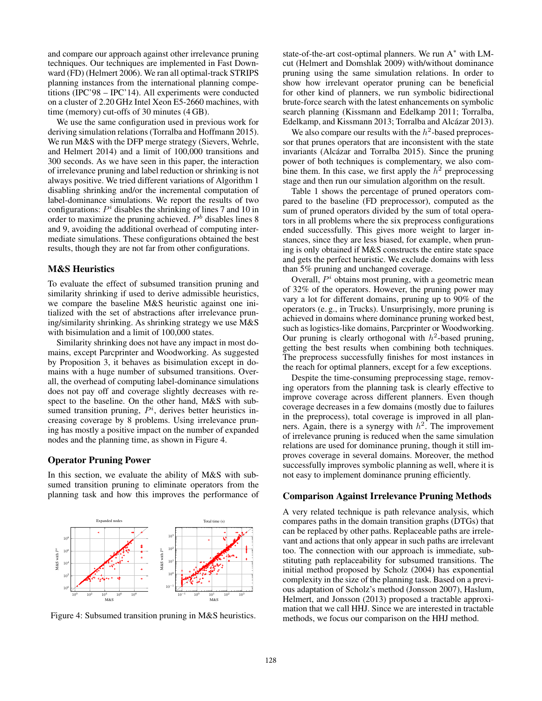and compare our approach against other irrelevance pruning techniques. Our techniques are implemented in Fast Downward (FD) (Helmert 2006). We ran all optimal-track STRIPS planning instances from the international planning competitions (IPC'98 – IPC'14). All experiments were conducted on a cluster of 2.20 GHz Intel Xeon E5-2660 machines, with time (memory) cut-offs of 30 minutes (4 GB).

We use the same configuration used in previous work for deriving simulation relations (Torralba and Hoffmann 2015). We run M&S with the DFP merge strategy (Sievers, Wehrle, and Helmert 2014) and a limit of 100,000 transitions and 300 seconds. As we have seen in this paper, the interaction of irrelevance pruning and label reduction or shrinking is not always positive. We tried different variations of Algorithm 1 disabling shrinking and/or the incremental computation of label-dominance simulations. We report the results of two configurations:  $P<sup>i</sup>$  disables the shrinking of lines 7 and 10 in order to maximize the pruning achieved.  $P<sup>b</sup>$  disables lines 8 and 9, avoiding the additional overhead of computing intermediate simulations. These configurations obtained the best results, though they are not far from other configurations.

# M&S Heuristics

To evaluate the effect of subsumed transition pruning and similarity shrinking if used to derive admissible heuristics, we compare the baseline M&S heuristic against one initialized with the set of abstractions after irrelevance pruning/similarity shrinking. As shrinking strategy we use M&S with bisimulation and a limit of 100,000 states.

Similarity shrinking does not have any impact in most domains, except Parcprinter and Woodworking. As suggested by Proposition 3, it behaves as bisimulation except in domains with a huge number of subsumed transitions. Overall, the overhead of computing label-dominance simulations does not pay off and coverage slightly decreases with respect to the baseline. On the other hand, M&S with subsumed transition pruning,  $P^i$ , derives better heuristics increasing coverage by 8 problems. Using irrelevance pruning has mostly a positive impact on the number of expanded nodes and the planning time, as shown in Figure 4.

### Operator Pruning Power

In this section, we evaluate the ability of M&S with subsumed transition pruning to eliminate operators from the planning task and how this improves the performance of



Figure 4: Subsumed transition pruning in M&S heuristics.

state-of-the-art cost-optimal planners. We run  $A^*$  with LMcut (Helmert and Domshlak 2009) with/without dominance pruning using the same simulation relations. In order to show how irrelevant operator pruning can be beneficial for other kind of planners, we run symbolic bidirectional brute-force search with the latest enhancements on symbolic search planning (Kissmann and Edelkamp 2011; Torralba, Edelkamp, and Kissmann 2013; Torralba and Alcázar 2013).

We also compare our results with the  $h^2$ -based preprocessor that prunes operators that are inconsistent with the state invariants (Alcázar and Torralba 2015). Since the pruning power of both techniques is complementary, we also combine them. In this case, we first apply the  $h^2$  preprocessing stage and then run our simulation algorithm on the result.

Table 1 shows the percentage of pruned operators compared to the baseline (FD preprocessor), computed as the sum of pruned operators divided by the sum of total operators in all problems where the six preprocess configurations ended successfully. This gives more weight to larger instances, since they are less biased, for example, when pruning is only obtained if M&S constructs the entire state space and gets the perfect heuristic. We exclude domains with less than 5% pruning and unchanged coverage.

Overall,  $P<sup>i</sup>$  obtains most pruning, with a geometric mean of 32% of the operators. However, the pruning power may vary a lot for different domains, pruning up to 90% of the operators (e. g., in Trucks). Unsurprisingly, more pruning is achieved in domains where dominance pruning worked best, such as logistics-like domains, Parcprinter or Woodworking. Our pruning is clearly orthogonal with  $h^2$ -based pruning, getting the best results when combining both techniques. The preprocess successfully finishes for most instances in the reach for optimal planners, except for a few exceptions.

Despite the time-consuming preprocessing stage, removing operators from the planning task is clearly effective to improve coverage across different planners. Even though coverage decreases in a few domains (mostly due to failures in the preprocess), total coverage is improved in all planners. Again, there is a synergy with  $h^2$ . The improvement of irrelevance pruning is reduced when the same simulation relations are used for dominance pruning, though it still improves coverage in several domains. Moreover, the method successfully improves symbolic planning as well, where it is not easy to implement dominance pruning efficiently.

# Comparison Against Irrelevance Pruning Methods

A very related technique is path relevance analysis, which compares paths in the domain transition graphs (DTGs) that can be replaced by other paths. Replaceable paths are irrelevant and actions that only appear in such paths are irrelevant too. The connection with our approach is immediate, substituting path replaceability for subsumed transitions. The initial method proposed by Scholz (2004) has exponential complexity in the size of the planning task. Based on a previous adaptation of Scholz's method (Jonsson 2007), Haslum, Helmert, and Jonsson (2013) proposed a tractable approximation that we call HHJ. Since we are interested in tractable methods, we focus our comparison on the HHJ method.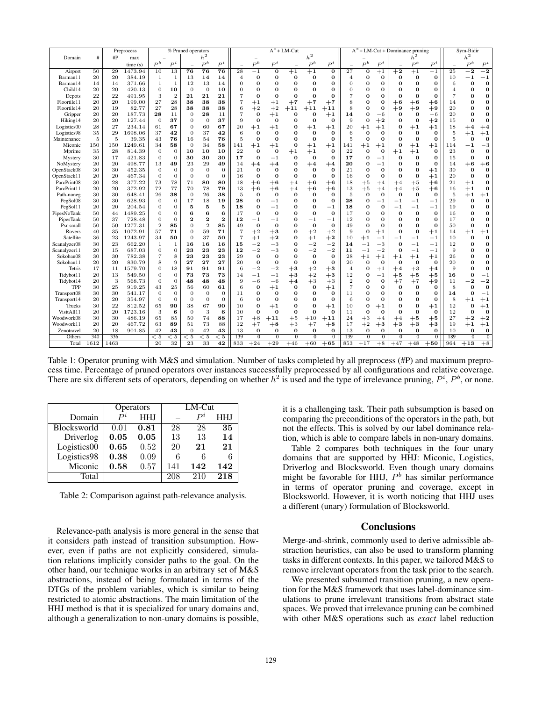|              |      |          | Preprocess | % Pruned operators |                  |                 |                | $A^*$ + LM-Cut |                |             |                  |                   | $A^*$ + LM-Cut + Dominance pruning |                  |                |             |                 | Sym-Bidir        |                  |              |                |                  |              |
|--------------|------|----------|------------|--------------------|------------------|-----------------|----------------|----------------|----------------|-------------|------------------|-------------------|------------------------------------|------------------|----------------|-------------|-----------------|------------------|------------------|--------------|----------------|------------------|--------------|
| Domain       | #    | #P       | max        |                    |                  |                 | h <sup>2</sup> |                |                |             |                  |                   | $h^2$                              |                  |                |             |                 |                  | $h^2$            |              |                | $h^2$            |              |
|              |      |          | time(s)    | $P^b$              | $P^i$            |                 | $\mathbb{P}^b$ | $P^i$          |                | $P^b$       | $P^i$            |                   | $\mathbb{P}^b$                     | $P^i$            |                | $P^b$       | $P^i$           |                  | $P^b$            | $P^i$        |                | $P^b$            | $P^i$        |
| Airport      | 50   | 29       | 1473.94    | 10                 | 13               | 76              | 76             | 76             | 28             | $^{-1}$     | $\overline{0}$   | $+1$              | $+1$                               | $\overline{0}$   | 27             | $\bf{o}$    | $+1$            | $^{+2}$          | $+1$             | $^{-1}$      | 25             | $\cdot$ 2        | $^{-2}$      |
| Barman11     | 20   | 20       | 384.19     | 1                  | 1                | 13              | 14             | 14             | 4              | 0           | 0                | $\bf{0}$          | 0                                  | 0                | 4              | 0           | 0               | 0                | $\bf{0}$         | $\bf{0}$     | 10             |                  | $^{-1}$      |
| Barman14     | 14   | 14       | 371.66     | 1                  | 1                | 12              | 13             | 14             | $\Omega$       | $\Omega$    | 0                | $\Omega$          | $\Omega$                           | 0                | 0              | 0           | 0               | n                | $\bf{0}$         | 0            | 6              | 0                | $\bf{0}$     |
| Child14      | 20   | 20       | 420.13     | $\mathbf{0}$       | 10               | $\theta$        | $\theta$       | 10             | $\overline{0}$ |             | 0                | $\Omega$          | n                                  | 0                | 0              | O           | 0               |                  | $\bf{0}$         | n            | $\overline{4}$ | n                | $\bf{0}$     |
| Depots       | 22   | 22       | 491.95     | 3                  | $\overline{2}$   | 21              | 21             | 21             | 7              | $\Omega$    | $\bf{O}$         | $\Omega$          | $\Omega$                           | $\bf{0}$         |                | 0           | 0               | $\Omega$         | $\bf{0}$         | 0            |                | 0                | $\bf{0}$     |
| Floortile11  | 20   | 20       | 199.00     | 27                 | 28               | 38              | 38             | 38             | 7              | $^{+1}$     | $+1$             |                   |                                    |                  | 8              | 0           | 0               |                  |                  |              | 14             | n                | $\bf o$      |
| Floortile14  | 20   |          | 82.77      | 27                 | 28               | 38              | 38             | 38             | 6              | $+2$        |                  | $+7$              | $+7$                               | $+7$             | 8              | O           |                 | $^{+6}$          | $+6$             | $^{+6}$      | 20             | n                | $\bf{0}$     |
|              | 20   | 19<br>20 | 187.73     | 28                 | 11               | $\theta$        | 28             | 11             | 7              | $\bf{0}$    | $+2$<br>$+1$     | $+11$<br>$\bf{0}$ | $+11$<br>$\bf{O}$                  | $+11$            | 14             | 0           | $\bf o$<br>$-6$ | $+9$<br>$\Omega$ | $+9$<br>$\bf{0}$ | $+9$<br>$-6$ | 20             | n                | $\bf{0}$     |
| Gripper      |      |          |            |                    | 37               |                 |                | 37             |                |             |                  |                   |                                    | $+1$             |                |             |                 |                  |                  |              |                | Ò                | $\bf{0}$     |
| Hiking14     | 20   | 20       | 127.44     | $\theta$           |                  | $\mathbf{0}$    | $\Omega$       |                | 9              | $\bf{0}$    | $\bf{0}$         | $\bf{0}$          | $\bf{0}$                           | $\bf{O}$         | 9              | 0           | $+2$            | n                | $\bf{0}$         | $+2$         | 15             |                  |              |
| Logistics00  | 28   | 27       | 234.14     | 61                 | 67               | $\mathbf{0}$    | 60             | 67             | 20             | $^{\rm +1}$ | $+1$             | $\bf{0}$          | $+1$                               | $+1$             | 20             | $+1$        | $+1$            |                  | $+1$             | $+1$         | 18             | $^{+4}$          | $^{+4}$      |
| Logistics98  | 35   | 29       | 1698.06    | 37                 | 42               | $\overline{0}$  | 37             | 42             | 6              | $\Omega$    | $\bf{0}$         | $\Omega$          | $\Omega$                           | $\bf{O}$         | 6              | $\Omega$    | $\Omega$        | ი                | $\bf{0}$         | $\Omega$     | 5              | $^{\rm +1}$      | $+1$         |
| Maintenance  | 5    | 5        | 39.35      | 43                 | 76               | 16              | 54             | 76             | 5              | $\bf{0}$    | $\bf{0}$         | $\Omega$          | $\bf{0}$                           | $\bf{0}$         | 5              | $\bf o$     | 0               | n                | $\bf{0}$         | $\bf o$      | 5              | 0                | $\bf{0}$     |
| Miconic      | 150  | 150      | 1249.61    | 34                 | 58               | $\theta$        | 34             | 58             | 141            | $^{\rm +1}$ | $+1$             | $\Omega$          | $+1$                               | $+1$             | 141            | $+1$        | $^{\rm +1}$     |                  | $+1$             | $+1$         | 114            |                  | $-3$         |
| Mprime       | 35   | 28       | 814.39     | $\theta$           | $\mathbf{0}$     | 10              | 10             | 10             | 22             | $\Omega$    | $\bf{0}$         | $^{\rm +1}$       | $+1$                               | $\bf{O}$         | 22             | 0           | $\bf o$         | $+1$             | $+1$             | 0            | 23             | 0                | $\bf{0}$     |
| Mystery      | 30   | 17       | 421.83     | $\theta$           | $\mathbf{0}$     | 30              | 30             | 30             | 17             | $\Omega$    | $^{-1}$          | $\bf{0}$          | $\bf{0}$                           | 0                | 17             | 0           | $^{-1}$         | $\Omega$         | $\bf o$          | 0            | 15             | 0                | $\bf o$      |
| NoMystery    | 20   | 20       | 498.77     | 13                 | 49               | 23              | 29             | 49             | 14             | $^{+4}$     | $+4$             | $\bf{O}$          | $+4$                               | $^{+4}$          | 20             | $\bf o$     | $^{-1}$         | n                | $\bf{0}$         | $\bf{0}$     | 14             | $+6$             | $+6$         |
| OpenStack08  | 30   | 30       | 452.35     | $\theta$           | $\theta$         | $\theta$        | $\theta$       | $\overline{0}$ | 21             | 0           | $\bf{0}$         | 0                 | $\bf{0}$                           | $\bf{0}$         | 21             | 0           | 0               |                  | $\bf{0}$         | $+1$         | 30             | $\bf{0}$         | $\bf{0}$     |
| OpenStack11  | 20   | 20       | 467.34     | $\theta$           | $\overline{0}$   | $\overline{0}$  | $\theta$       | $\overline{0}$ | 16             | $\bf{0}$    | $\bf{O}$         | $\bf{0}$          | $\bf{0}$                           | $\bf{0}$         | 16             | $\bf o$     | 0               | $\Omega$         | $\bf{0}$         | $+1$         | 20             | 0                | $\bf{0}$     |
| ParcPrint08  | 30   | 28       | 377.22     | 73                 | 78               | 71              | 80             | 80             | 18             | $^{\rm +6}$ | $+6$             | $^{+4}$           | $+6$                               | $+6$             | 18             | $+5$        | $+4$            | $^{+4}$          | $+5$             | $+6$         | 21             | $^{\rm +1}$      | $\bf o$      |
| ParcPrint11  | 20   | 20       | 372.92     | 72                 | 77               | 70              | 78             | 79             | 13             | $+6$        | $+6$             | $^{+4}$           | $+6$                               | $+6$             | 13             | $+5$        | $+4$            | $+4$             | $+5$             | $+6$         | 16             | $+1$             | $\bf o$      |
| Path-noneg   | 30   | 30       | 648.41     | 26                 | 38               | $\theta$        | 26             | 38             | 5              | $\Omega$    | $\bf{0}$         | $\Omega$          | $\Omega$                           | $\bf{0}$         | 5              | $\Omega$    | $\Omega$        | $\Omega$         | $\bf{0}$         | $\bf{0}$     | 5              | $+1$             | $+1$         |
| PegSol08     | 30   | 30       | 628.93     | $\overline{0}$     | 0                | 17              | 18             | 19             | 28             | $\Omega$    | $^{-1}$          | $\bf{0}$          | $\bf{0}$                           | $\bf{O}$         | 28             | 0           | $^{-1}$         | $-1$             | $^{-1}$          | $^{-1}$      | 29             | 0                | $\bf o$      |
| PegSol11     | 20   | 20       | 204.54     | $\overline{0}$     | $\theta$         | 5               | 5              | 5              | 18             | $\Omega$    | $^{-1}$          | 0                 | 0                                  | $^{-1}$          | 18             | 0           | 0               | $-1$             | $^{-1}$          | $^{-1}$      | 19             | 0                | $\bf{0}$     |
| PipesNoTank  | 50   | 44       | 1489.25    | $\Omega$           | $\overline{0}$   | 6               | 6              | 6              | 17             | $\Omega$    | $\bf{0}$         | $\Omega$          | $\bf{0}$                           | $\bf{0}$         | 17             | 0           | 0               | 0                | $\bf{O}$         | $\bf{0}$     | 16             | n                | $\bf{0}$     |
| PipesTank    | 50   | 37       | 728.48     | $\Omega$           | $\overline{0}$   | $\mathbf{2}$    | $\overline{2}$ | $\overline{2}$ | 12             | $^{-1}$     | $^{-1}$          | $\bf{0}$          | $^{-1}$                            | $^{-1}$          | 12             | $\bf{0}$    | $\bf{0}$        | n                | $\bf{O}$         | $\bf{O}$     | 17             | Ò                | $\bf{0}$     |
| Psr-small    | 50   | 50       | 1277.31    | $\overline{2}$     | 85               | $\Omega$        | $\overline{2}$ | 85             | 49             | $\bf{0}$    | $\bf{0}$         | $\bf{0}$          | $\bf{0}$                           | $\bf{0}$         | 49             | 0           | о               |                  | $\bf{0}$         | 0            | 50             | n                | $\bf o$      |
| Rovers       | 40   | 35       | 1072.91    | 57                 | 71               | $\Omega$        | 59             | 71             | $\overline{7}$ | $+2$        | $+3$             | $\Omega$          | $+2$                               | $+2$             | 9              | $\Omega$    | $^{\rm +1}$     | 0                | $\bf{0}$         | $+1$         | 14             | $^{\rm +1}$      | $+1$         |
| Satellite    | 36   | 23       | 1243.97    | 34                 | 50               | $\Omega$        | 37             | 50             | $\overline{7}$ | $+1$        | $+2$             | $\Omega$          | $+1$                               | $+2$             | 10             | $^{\rm +1}$ | $^{-1}$         |                  | - 1              | $-1$         | 10             | $\Omega$         | $\bf{0}$     |
| Scanalyzer08 | 30   | 23       | 662.20     | 1                  | 1                | 16              | 16             | 16             | 15             | $^{-2}$     | $^{-3}$          | $\Omega$          | $^{-2}$                            | $^{-2}$          | 14             | $-1$        | $^{-3}$         | $\Omega$         | $^{-1}$          | $-1$         | 12             | n                | $\bf{0}$     |
| Scanalyzer11 | 20   | 15       | 687.03     | $\overline{0}$     | $\boldsymbol{0}$ | 23              | 23             | 23             | 12             | $-2$        | $-3$             | $\Omega$          | $^{-2}$                            | $^{-2}$          | 11             | $-1$        | $^{-2}$         | $\Omega$         | $^{-1}$          | $^{-1}$      | 9              | ი                | $\bf o$      |
| Sokoban08    | 30   | 30       | 782.38     |                    | 8                | 23              | 23             | 23             | 29             | $\Omega$    | $\bf{0}$         | O                 | $\bf{0}$                           | $\bf{0}$         | 28             | $+1$        | $+1$            | $+1$             | $+1$             | $+1$         | 26             | n                | 0            |
| Sokoban11    | 20   | 20       | 830.79     | 8                  | 9                | $^{27}$         | 27             | 27             | 20             | $\bf{0}$    | $\bf{O}$         | O                 | $\bf{0}$                           | $\bf{0}$         | 20             | $\Omega$    | $\Omega$        | $\bf{0}$         | $\bf{0}$         | $\bf{0}$     | 20             |                  | $\bf{0}$     |
| Tetris       | 17   | 11       | 1579.70    | 0                  | 18               | 91              | 91             | 91             | 6              | $^{-2}$     | $^{-2}$          | $^{\rm +3}$       | $+2$                               | $+3$             | 4              | 0           | $+1$            | $+4$             | $+3$             | $^{+4}$      | q              |                  | $\bf{0}$     |
| Tidybot11    | 20   | 13       | 549.50     | $\overline{0}$     | $\theta$         | 73              | 73             | 73             | 14             | $^{-1}$     | $^{-1}$          | $^{+3}$           | $+2$                               | $+3$             | 12             | 0           | $^{-1}$         | $+5$             | $+5$             | $+5$         | 16             | o                | $^{-1}$      |
| Tidybot14    | 20   | 3        | 568.73     | $\theta$           | $\theta$         | 48              | 48             | 48             | 9              | $-6$        | $-6$             | $+4$              | $+3$                               | $+3$             | $\overline{2}$ | 0           | $\bf{O}$        | $+7$             | $+7$             | $^{+9}$      | 11             |                  | $^{-2}$      |
| <b>TPP</b>   | 30   | 25       | 919.25     | 43                 | 25               | 56              | 60             | 61             | 6              | $\Omega$    | $+1$             | 0                 | $\bf{0}$                           | $+1$             | 7              | 0           | $\Omega$        | 0                | 0                | $\Omega$     | 8              | 0                | $\bf{0}$     |
| Transport08  | 30   | 30       | 541.17     | $\overline{0}$     | $\boldsymbol{0}$ | $\mathbf{0}$    | $\Omega$       | $\mathbf{0}$   | 11             | $\Omega$    | $\bf{0}$         | $\Omega$          | $\bf{0}$                           | $\bf{0}$         | $^{11}$        | O           | 0               |                  | $\bf{0}$         | 0            | 14             | ſ                | $-1$         |
| Transport14  | 20   | 20       | 354.97     | $\theta$           | $\overline{0}$   | $\Omega$        | $\Omega$       | $\overline{0}$ | 6              | 0           | $\bf{O}$         | $\Omega$          | $\Omega$                           | $\bf{0}$         | 6              | O           | 0               |                  | $\bf{0}$         | $\bf o$      | 8              | $^{\rm +1}$      | $+1$         |
| Trucks       | 30   | 22       | 812.52     | 65                 | 90               | 38              | 67             | 90             | 10             | O           | $+1$             | 0                 | O                                  | $+1$             | 10             | 0           | $^{\rm +1}$     |                  | $\bf{0}$         | $+1$         | 12             | n                | $+1$         |
| VisitAll11   | 20   | 20       | 1723.16    | 3                  | 6                | $\theta$        | 3              | 6              | 10             | $\Omega$    | $\bf{0}$         | $\Omega$          | $\Omega$                           | 0                | 11             | $\Omega$    | 0               | n                | $\bf{0}$         | 0            | 12             | n                | $\bf{0}$     |
| Woodwork08   | 30   | 30       | 486.19     | 65                 | 85               | 50              | 74             | 88             | 17             | $+8$        | $+11$            | $+5$              | $+10$                              | $+11$            | 24             | $+3$        | $^{+4}$         |                  | $+5$             | $+5$         | 27             | $+2$             | $+2$         |
| Woodwork11   | 20   | 20       | 467.72     | 63                 | 89               | 51              | 73             | 88             | 12             | $+7$        |                  | $+3$              |                                    |                  | 17             | $+2$        | $+3$            | $^{+4}$<br>$+3$  | $+3$             |              | 19             |                  | $+1$         |
| Zenotravel   | 20   | 18       | 901.85     | 42                 | 43               | $\overline{0}$  | 42             | 43             | 13             | $\bf{0}$    | $+8$<br>$\bf{0}$ | $\bf{O}$          | $+7$<br>$\bf{0}$                   | $+8$<br>$\bf{O}$ | 13             | $\bf{0}$    | $\bf{0}$        | 0                | 0                | $+3$<br>0    | 10             | $+1$<br>$\bf{0}$ | $\bf{0}$     |
|              | 340  |          |            |                    | $\overline{<5}$  | $\overline{<5}$ |                |                | 139            | $\Omega$    | $\Omega$         | $\Omega$          | $\Omega$                           | $\Omega$         | 139            | $\Omega$    | $\overline{0}$  | $\Omega$         | $\Omega$         |              |                | $\Omega$         | $\mathbf{0}$ |
| Others       |      | 336      |            | < 5                |                  |                 | < 5            | < 5            |                |             |                  |                   |                                    |                  |                |             |                 |                  |                  | $\mathbf{0}$ | 189            |                  | $+8$         |
| Total        | 1612 | 1463     |            | 20                 | 32               | 23              | 33             | 42             | 833            | $+24$       | $+29$            | $+46$             | $+60$                              | $+65$            | 853            | $+17$       | $+8$            | $+47$            | $+48$            | $+50$        | 964            | $+13$            |              |

Table 1: Operator pruning with M&S and simulation. Number of tasks completed by all preprocess (#P) and maximum preprocess time. Percentage of pruned operators over instances successfully preprocessed by all configurations and relative coverage. There are six different sets of operators, depending on whether  $h^2$  is used and the type of irrelevance pruning,  $P^i$ ,  $P^b$ , or none.

|             |      | <b>Operators</b> | $LM$ -Cut |         |            |  |  |  |  |
|-------------|------|------------------|-----------|---------|------------|--|--|--|--|
| Domain      |      | <b>HHJ</b>       |           | $P^{i}$ | <b>HHJ</b> |  |  |  |  |
| Blocksworld | 0.01 | 0.81             | 28        | 28      | 35         |  |  |  |  |
| Driverlog   | 0.05 | 0.05             | 13        | 13      | 14         |  |  |  |  |
| Logistics00 | 0.65 | 0.52             | 20        | 21      | 21         |  |  |  |  |
| Logistics98 | 0.38 | 0.09             | 6         | 6       |            |  |  |  |  |
| Miconic     | 0.58 | 0.57             | 141       | 142     | 142        |  |  |  |  |
| Total       |      |                  | 208       | 210     | 218        |  |  |  |  |

Table 2: Comparison against path-relevance analysis.

Relevance-path analysis is more general in the sense that it considers path instead of transition subsumption. However, even if paths are not explicitly considered, simulation relations implicitly consider paths to the goal. On the other hand, our technique works in an arbitrary set of M&S abstractions, instead of being formulated in terms of the DTGs of the problem variables, which is similar to being restricted to atomic abstractions. The main limitation of the HHJ method is that it is specialized for unary domains and, although a generalization to non-unary domains is possible, it is a challenging task. Their path subsumption is based on comparing the preconditions of the operators in the path, but not the effects. This is solved by our label dominance relation, which is able to compare labels in non-unary domains.

Table 2 compares both techniques in the four unary domains that are supported by HHJ: Miconic, Logistics, Driverlog and Blocksworld. Even though unary domains might be favorable for HHJ,  $P<sup>b</sup>$  has similar performance in terms of operator pruning and coverage, except in Blocksworld. However, it is worth noticing that HHJ uses a different (unary) formulation of Blocksworld.

### **Conclusions**

Merge-and-shrink, commonly used to derive admissible abstraction heuristics, can also be used to transform planning tasks in different contexts. In this paper, we tailored M&S to remove irrelevant operators from the task prior to the search.

We presented subsumed transition pruning, a new operation for the M&S framework that uses label-dominance simulations to prune irrelevant transitions from abstract state spaces. We proved that irrelevance pruning can be combined with other M&S operations such as *exact* label reduction